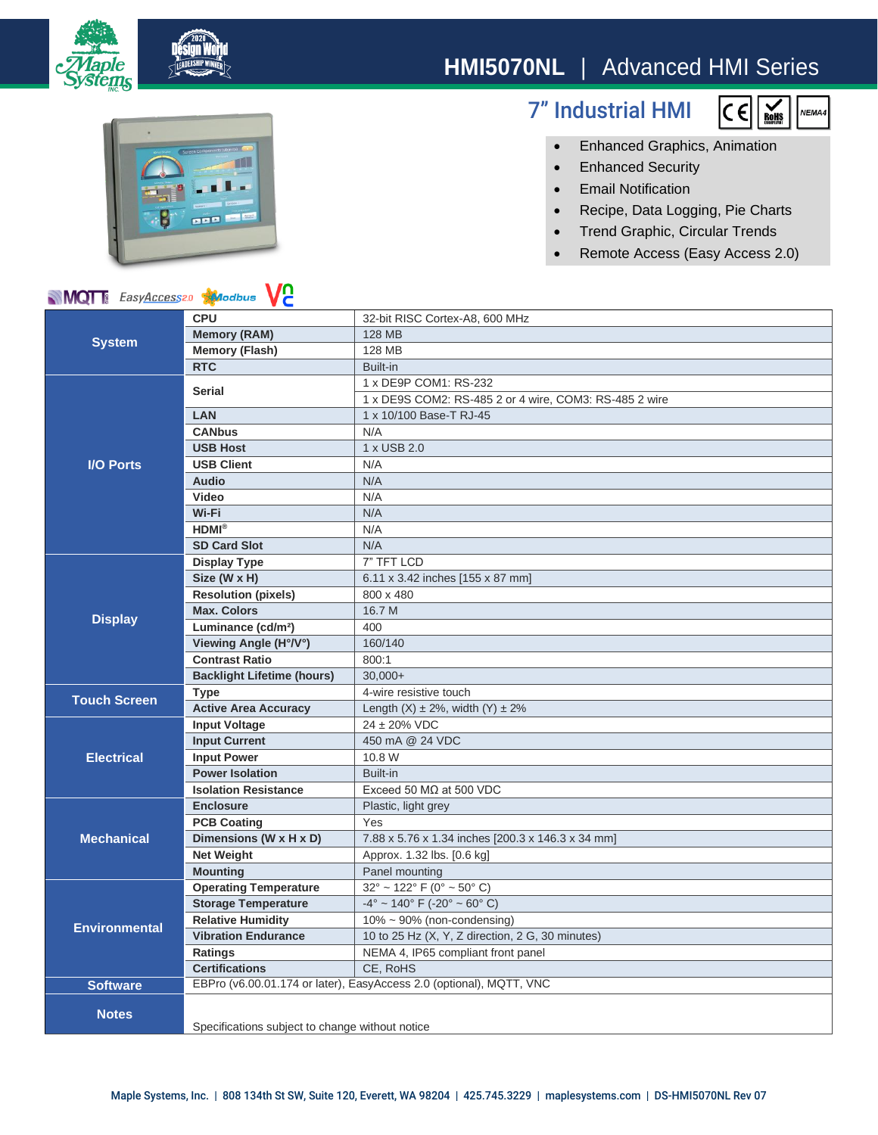

## 7" Industrial HMI



- Enhanced Graphics, Animation
- Enhanced Security
- Email Notification
- Recipe, Data Logging, Pie Charts
- Trend Graphic, Circular Trends
- Remote Access (Easy Access 2.0)



**TIL** 

| <b>NWQI</b> EasyAccess <sup>20</sup><br>Modbus<br>VC. |                                                                     |                                                        |
|-------------------------------------------------------|---------------------------------------------------------------------|--------------------------------------------------------|
| <b>System</b>                                         | <b>CPU</b>                                                          | 32-bit RISC Cortex-A8, 600 MHz                         |
|                                                       | <b>Memory (RAM)</b>                                                 | <b>128 MB</b>                                          |
|                                                       | <b>Memory (Flash)</b>                                               | 128 MB                                                 |
|                                                       | <b>RTC</b>                                                          | Built-in                                               |
| <b>I/O Ports</b>                                      | <b>Serial</b>                                                       | 1 x DE9P COM1: RS-232                                  |
|                                                       |                                                                     | 1 x DE9S COM2: RS-485 2 or 4 wire, COM3: RS-485 2 wire |
|                                                       | <b>LAN</b>                                                          | 1 x 10/100 Base-T RJ-45                                |
|                                                       | <b>CANbus</b>                                                       | N/A                                                    |
|                                                       | <b>USB Host</b>                                                     | 1 x USB 2.0                                            |
|                                                       | <b>USB Client</b>                                                   | N/A                                                    |
|                                                       | <b>Audio</b>                                                        | N/A                                                    |
|                                                       | Video                                                               | N/A                                                    |
|                                                       | Wi-Fi                                                               | N/A                                                    |
|                                                       | $HDMI^{\otimes}$                                                    | N/A                                                    |
|                                                       | <b>SD Card Slot</b>                                                 | N/A                                                    |
| <b>Display</b>                                        | <b>Display Type</b>                                                 | 7" TFT LCD                                             |
|                                                       | Size (W x H)                                                        | 6.11 x 3.42 inches [155 x 87 mm]                       |
|                                                       | <b>Resolution (pixels)</b>                                          | 800 x 480                                              |
|                                                       | <b>Max. Colors</b>                                                  | 16.7 M                                                 |
|                                                       | Luminance (cd/m <sup>2</sup> )                                      | 400                                                    |
|                                                       | Viewing Angle (H°/V°)                                               | 160/140                                                |
|                                                       | <b>Contrast Ratio</b>                                               | 800:1                                                  |
|                                                       | <b>Backlight Lifetime (hours)</b>                                   | $30.000+$                                              |
| <b>Touch Screen</b>                                   | <b>Type</b>                                                         | 4-wire resistive touch                                 |
|                                                       | <b>Active Area Accuracy</b>                                         | Length $(X) \pm 2\%$ , width $(Y) \pm 2\%$             |
| <b>Electrical</b>                                     | <b>Input Voltage</b>                                                | 24 ± 20% VDC                                           |
|                                                       | <b>Input Current</b>                                                | 450 mA @ 24 VDC                                        |
|                                                       | <b>Input Power</b>                                                  | 10.8 W                                                 |
|                                                       | <b>Power Isolation</b>                                              | Built-in                                               |
|                                                       | <b>Isolation Resistance</b>                                         | Exceed 50 $M\Omega$ at 500 VDC                         |
| <b>Mechanical</b>                                     | <b>Enclosure</b>                                                    | Plastic, light grey                                    |
|                                                       | <b>PCB Coating</b>                                                  | Yes                                                    |
|                                                       | Dimensions (W x H x D)                                              | 7.88 x 5.76 x 1.34 inches [200.3 x 146.3 x 34 mm]      |
|                                                       | <b>Net Weight</b>                                                   | Approx. 1.32 lbs. [0.6 kg]                             |
|                                                       | <b>Mounting</b>                                                     | Panel mounting                                         |
| <b>Environmental</b>                                  | <b>Operating Temperature</b>                                        | $32^{\circ}$ ~ 122° F (0° ~ 50° C)                     |
|                                                       | <b>Storage Temperature</b>                                          | $-4^{\circ}$ ~ 140° F (-20° ~ 60° C)                   |
|                                                       | <b>Relative Humidity</b>                                            | $10\% \sim 90\%$ (non-condensing)                      |
|                                                       | <b>Vibration Endurance</b>                                          | 10 to 25 Hz (X, Y, Z direction, 2 G, 30 minutes)       |
|                                                       | Ratings                                                             | NEMA 4, IP65 compliant front panel                     |
|                                                       | <b>Certifications</b>                                               | CE, RoHS                                               |
| <b>Software</b>                                       | EBPro (v6.00.01.174 or later), EasyAccess 2.0 (optional), MQTT, VNC |                                                        |
| <b>Notes</b>                                          |                                                                     |                                                        |
|                                                       | Specifications subject to change without notice                     |                                                        |
|                                                       |                                                                     |                                                        |